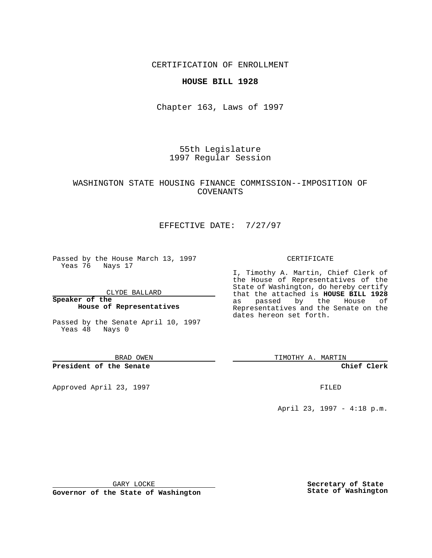CERTIFICATION OF ENROLLMENT

### **HOUSE BILL 1928**

Chapter 163, Laws of 1997

55th Legislature 1997 Regular Session

# WASHINGTON STATE HOUSING FINANCE COMMISSION--IMPOSITION OF COVENANTS

# EFFECTIVE DATE: 7/27/97

Passed by the House March 13, 1997 Yeas 76 Nays 17

CLYDE BALLARD

**Speaker of the House of Representatives**

Passed by the Senate April 10, 1997 Yeas 48 Nays 0

BRAD OWEN

**President of the Senate**

Approved April 23, 1997 **FILED** 

#### CERTIFICATE

I, Timothy A. Martin, Chief Clerk of the House of Representatives of the State of Washington, do hereby certify that the attached is **HOUSE BILL 1928** as passed by the House of Representatives and the Senate on the dates hereon set forth.

TIMOTHY A. MARTIN

**Chief Clerk**

April 23, 1997 - 4:18 p.m.

GARY LOCKE

**Governor of the State of Washington**

**Secretary of State State of Washington**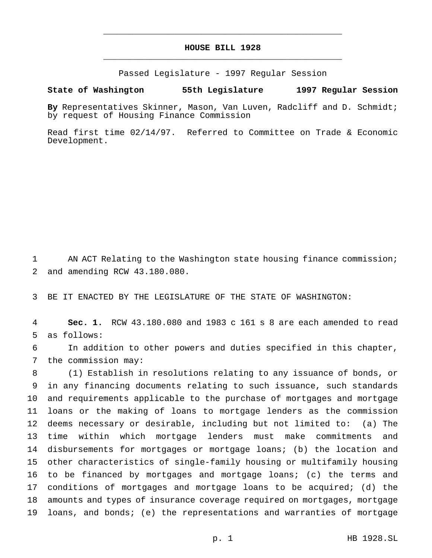# **HOUSE BILL 1928** \_\_\_\_\_\_\_\_\_\_\_\_\_\_\_\_\_\_\_\_\_\_\_\_\_\_\_\_\_\_\_\_\_\_\_\_\_\_\_\_\_\_\_\_\_\_\_

\_\_\_\_\_\_\_\_\_\_\_\_\_\_\_\_\_\_\_\_\_\_\_\_\_\_\_\_\_\_\_\_\_\_\_\_\_\_\_\_\_\_\_\_\_\_\_

Passed Legislature - 1997 Regular Session

#### **State of Washington 55th Legislature 1997 Regular Session**

**By** Representatives Skinner, Mason, Van Luven, Radcliff and D. Schmidt; by request of Housing Finance Commission

Read first time 02/14/97. Referred to Committee on Trade & Economic Development.

 AN ACT Relating to the Washington state housing finance commission; and amending RCW 43.180.080.

BE IT ENACTED BY THE LEGISLATURE OF THE STATE OF WASHINGTON:

 **Sec. 1.** RCW 43.180.080 and 1983 c 161 s 8 are each amended to read as follows:

 In addition to other powers and duties specified in this chapter, the commission may:

 (1) Establish in resolutions relating to any issuance of bonds, or in any financing documents relating to such issuance, such standards and requirements applicable to the purchase of mortgages and mortgage loans or the making of loans to mortgage lenders as the commission deems necessary or desirable, including but not limited to: (a) The time within which mortgage lenders must make commitments and disbursements for mortgages or mortgage loans; (b) the location and other characteristics of single-family housing or multifamily housing to be financed by mortgages and mortgage loans; (c) the terms and conditions of mortgages and mortgage loans to be acquired; (d) the amounts and types of insurance coverage required on mortgages, mortgage loans, and bonds; (e) the representations and warranties of mortgage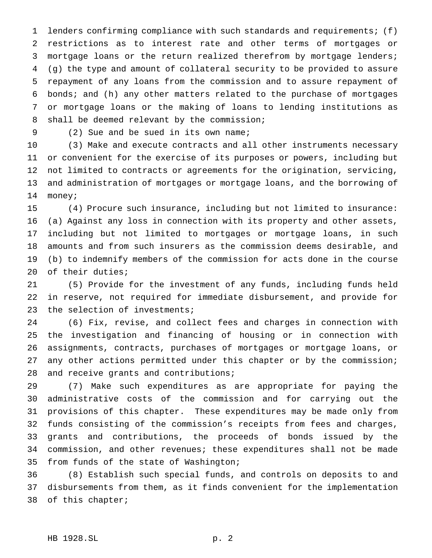lenders confirming compliance with such standards and requirements; (f) restrictions as to interest rate and other terms of mortgages or mortgage loans or the return realized therefrom by mortgage lenders; (g) the type and amount of collateral security to be provided to assure repayment of any loans from the commission and to assure repayment of bonds; and (h) any other matters related to the purchase of mortgages or mortgage loans or the making of loans to lending institutions as shall be deemed relevant by the commission;

(2) Sue and be sued in its own name;

 (3) Make and execute contracts and all other instruments necessary or convenient for the exercise of its purposes or powers, including but not limited to contracts or agreements for the origination, servicing, and administration of mortgages or mortgage loans, and the borrowing of money;

 (4) Procure such insurance, including but not limited to insurance: (a) Against any loss in connection with its property and other assets, including but not limited to mortgages or mortgage loans, in such amounts and from such insurers as the commission deems desirable, and (b) to indemnify members of the commission for acts done in the course of their duties;

 (5) Provide for the investment of any funds, including funds held in reserve, not required for immediate disbursement, and provide for the selection of investments;

 (6) Fix, revise, and collect fees and charges in connection with the investigation and financing of housing or in connection with assignments, contracts, purchases of mortgages or mortgage loans, or any other actions permitted under this chapter or by the commission; 28 and receive grants and contributions;

 (7) Make such expenditures as are appropriate for paying the administrative costs of the commission and for carrying out the provisions of this chapter. These expenditures may be made only from funds consisting of the commission's receipts from fees and charges, grants and contributions, the proceeds of bonds issued by the commission, and other revenues; these expenditures shall not be made from funds of the state of Washington;

 (8) Establish such special funds, and controls on deposits to and disbursements from them, as it finds convenient for the implementation of this chapter;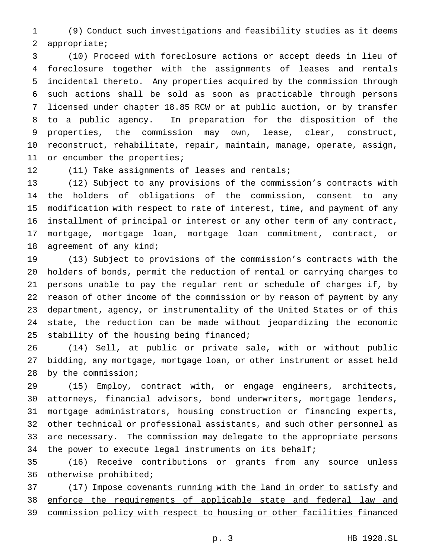(9) Conduct such investigations and feasibility studies as it deems appropriate;

 (10) Proceed with foreclosure actions or accept deeds in lieu of foreclosure together with the assignments of leases and rentals incidental thereto. Any properties acquired by the commission through such actions shall be sold as soon as practicable through persons licensed under chapter 18.85 RCW or at public auction, or by transfer to a public agency. In preparation for the disposition of the properties, the commission may own, lease, clear, construct, reconstruct, rehabilitate, repair, maintain, manage, operate, assign, 11 or encumber the properties;

12 (11) Take assignments of leases and rentals;

 (12) Subject to any provisions of the commission's contracts with the holders of obligations of the commission, consent to any modification with respect to rate of interest, time, and payment of any installment of principal or interest or any other term of any contract, mortgage, mortgage loan, mortgage loan commitment, contract, or 18 agreement of any kind;

 (13) Subject to provisions of the commission's contracts with the holders of bonds, permit the reduction of rental or carrying charges to persons unable to pay the regular rent or schedule of charges if, by reason of other income of the commission or by reason of payment by any department, agency, or instrumentality of the United States or of this state, the reduction can be made without jeopardizing the economic 25 stability of the housing being financed;

 (14) Sell, at public or private sale, with or without public bidding, any mortgage, mortgage loan, or other instrument or asset held by the commission;

 (15) Employ, contract with, or engage engineers, architects, attorneys, financial advisors, bond underwriters, mortgage lenders, mortgage administrators, housing construction or financing experts, other technical or professional assistants, and such other personnel as are necessary. The commission may delegate to the appropriate persons 34 the power to execute legal instruments on its behalf;

 (16) Receive contributions or grants from any source unless otherwise prohibited;

37 (17) Impose covenants running with the land in order to satisfy and 38 enforce the requirements of applicable state and federal law and commission policy with respect to housing or other facilities financed